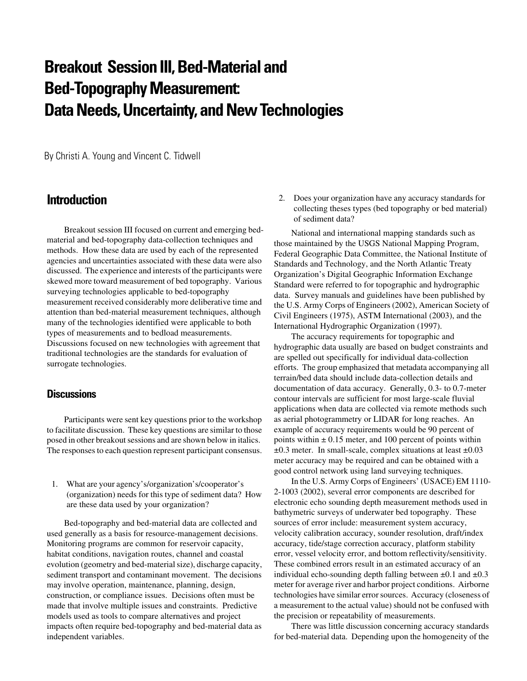# **Breakout Session III, Bed-Material and Bed-Topography Measurement: Data Needs, Uncertainty, and New Technologies**

By Christi A. Young and Vincent C. Tidwell

## **Introduction**

Breakout session III focused on current and emerging bedmaterial and bed-topography data-collection techniques and methods. How these data are used by each of the represented agencies and uncertainties associated with these data were also discussed. The experience and interests of the participants were skewed more toward measurement of bed topography. Various surveying technologies applicable to bed-topography measurement received considerably more deliberative time and attention than bed-material measurement techniques, although many of the technologies identified were applicable to both types of measurements and to bedload measurements. Discussions focused on new technologies with agreement that traditional technologies are the standards for evaluation of surrogate technologies.

### **Discussions**

Participants were sent key questions prior to the workshop to facilitate discussion. These key questions are similar to those posed in other breakout sessions and are shown below in italics. The responses to each question represent participant consensus.

1. What are your agency's/organization's/cooperator's (organization) needs for this type of sediment data? How are these data used by your organization?

Bed-topography and bed-material data are collected and used generally as a basis for resource-management decisions. Monitoring programs are common for reservoir capacity, habitat conditions, navigation routes, channel and coastal evolution (geometry and bed-material size), discharge capacity, sediment transport and contaminant movement. The decisions may involve operation, maintenance, planning, design, construction, or compliance issues. Decisions often must be made that involve multiple issues and constraints. Predictive models used as tools to compare alternatives and project impacts often require bed-topography and bed-material data as independent variables.

2. Does your organization have any accuracy standards for collecting theses types (bed topography or bed material) of sediment data?

National and international mapping standards such as those maintained by the USGS National Mapping Program, Federal Geographic Data Committee, the National Institute of Standards and Technology, and the North Atlantic Treaty Organization's Digital Geographic Information Exchange Standard were referred to for topographic and hydrographic data. Survey manuals and guidelines have been published by the U.S. Army Corps of Engineers (2002), American Society of Civil Engineers (1975), ASTM International (2003), and the International Hydrographic Organization (1997).

The accuracy requirements for topographic and hydrographic data usually are based on budget constraints and are spelled out specifically for individual data-collection efforts. The group emphasized that metadata accompanying all terrain/bed data should include data-collection details and documentation of data accuracy. Generally, 0.3- to 0.7-meter contour intervals are sufficient for most large-scale fluvial applications when data are collected via remote methods such as aerial photogrammetry or LIDAR for long reaches. An example of accuracy requirements would be 90 percent of points within  $\pm 0.15$  meter, and 100 percent of points within  $\pm 0.3$  meter. In small-scale, complex situations at least  $\pm 0.03$ meter accuracy may be required and can be obtained with a good control network using land surveying techniques.

In the U.S. Army Corps of Engineers' (USACE) EM 1110- 2-1003 (2002), several error components are described for electronic echo sounding depth measurement methods used in bathymetric surveys of underwater bed topography. These sources of error include: measurement system accuracy, velocity calibration accuracy, sounder resolution, draft/index accuracy, tide/stage correction accuracy, platform stability error, vessel velocity error, and bottom reflectivity/sensitivity. These combined errors result in an estimated accuracy of an individual echo-sounding depth falling between  $\pm 0.1$  and  $\pm 0.3$ meter for average river and harbor project conditions. Airborne technologies have similar error sources. Accuracy (closeness of a measurement to the actual value) should not be confused with the precision or repeatability of measurements.

There was little discussion concerning accuracy standards for bed-material data. Depending upon the homogeneity of the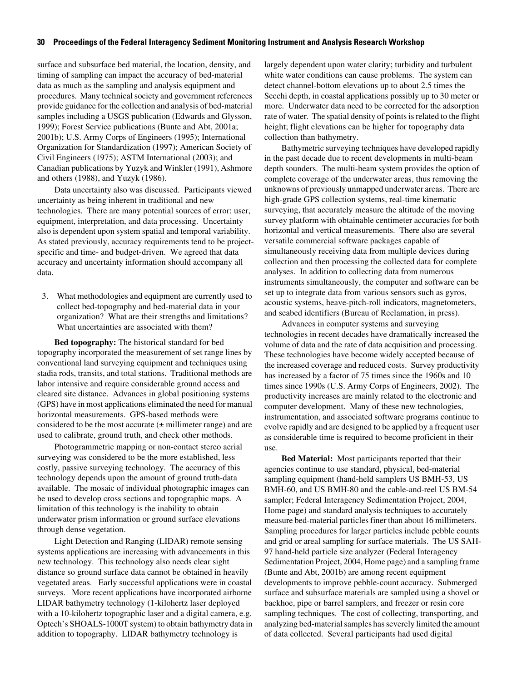#### **30 Proceedings of the Federal Interagency Sediment Monitoring Instrument and Analysis Research Workshop**

surface and subsurface bed material, the location, density, and timing of sampling can impact the accuracy of bed-material data as much as the sampling and analysis equipment and procedures. Many technical society and government references provide guidance for the collection and analysis of bed-material samples including a USGS publication (Edwards and Glysson, 1999); Forest Service publications (Bunte and Abt, 2001a; 2001b); U.S. Army Corps of Engineers (1995); International Organization for Standardization (1997); American Society of Civil Engineers (1975); ASTM International (2003); and Canadian publications by Yuzyk and Winkler (1991), Ashmore and others (1988), and Yuzyk (1986).

Data uncertainty also was discussed. Participants viewed uncertainty as being inherent in traditional and new technologies. There are many potential sources of error: user, equipment, interpretation, and data processing. Uncertainty also is dependent upon system spatial and temporal variability. As stated previously, accuracy requirements tend to be projectspecific and time- and budget-driven. We agreed that data accuracy and uncertainty information should accompany all data.

3. What methodologies and equipment are currently used to collect bed-topography and bed-material data in your organization? What are their strengths and limitations? What uncertainties are associated with them?

**Bed topography:** The historical standard for bed topography incorporated the measurement of set range lines by conventional land surveying equipment and techniques using stadia rods, transits, and total stations. Traditional methods are labor intensive and require considerable ground access and cleared site distance. Advances in global positioning systems (GPS) have in most applications eliminated the need for manual horizontal measurements. GPS-based methods were considered to be the most accurate  $(\pm$  millimeter range) and are used to calibrate, ground truth, and check other methods.

Photogrammetric mapping or non-contact stereo aerial surveying was considered to be the more established, less costly, passive surveying technology. The accuracy of this technology depends upon the amount of ground truth-data available. The mosaic of individual photographic images can be used to develop cross sections and topographic maps. A limitation of this technology is the inability to obtain underwater prism information or ground surface elevations through dense vegetation.

Light Detection and Ranging (LIDAR) remote sensing systems applications are increasing with advancements in this new technology. This technology also needs clear sight distance so ground surface data cannot be obtained in heavily vegetated areas. Early successful applications were in coastal surveys. More recent applications have incorporated airborne LIDAR bathymetry technology (1-kilohertz laser deployed with a 10-kilohertz topographic laser and a digital camera, e.g. Optech's SHOALS-1000T system) to obtain bathymetry data in addition to topography. LIDAR bathymetry technology is

largely dependent upon water clarity; turbidity and turbulent white water conditions can cause problems. The system can detect channel-bottom elevations up to about 2.5 times the Secchi depth, in coastal applications possibly up to 30 meter or more. Underwater data need to be corrected for the adsorption rate of water. The spatial density of points is related to the flight height; flight elevations can be higher for topography data collection than bathymetry.

Bathymetric surveying techniques have developed rapidly in the past decade due to recent developments in multi-beam depth sounders. The multi-beam system provides the option of complete coverage of the underwater areas, thus removing the unknowns of previously unmapped underwater areas. There are high-grade GPS collection systems, real-time kinematic surveying, that accurately measure the altitude of the moving survey platform with obtainable centimeter accuracies for both horizontal and vertical measurements. There also are several versatile commercial software packages capable of simultaneously receiving data from multiple devices during collection and then processing the collected data for complete analyses. In addition to collecting data from numerous instruments simultaneously, the computer and software can be set up to integrate data from various sensors such as gyros, acoustic systems, heave-pitch-roll indicators, magnetometers, and seabed identifiers (Bureau of Reclamation, in press).

Advances in computer systems and surveying technologies in recent decades have dramatically increased the volume of data and the rate of data acquisition and processing. These technologies have become widely accepted because of the increased coverage and reduced costs. Survey productivity has increased by a factor of 75 times since the 1960s and 10 times since 1990s (U.S. Army Corps of Engineers, 2002). The productivity increases are mainly related to the electronic and computer development. Many of these new technologies, instrumentation, and associated software programs continue to evolve rapidly and are designed to be applied by a frequent user as considerable time is required to become proficient in their use.

**Bed Material:** Most participants reported that their agencies continue to use standard, physical, bed-material sampling equipment (hand-held samplers US BMH-53, US BMH-60, and US BMH-80 and the cable-and-reel US BM-54 sampler; Federal Interagency Sedimentation Project, 2004, Home page) and standard analysis techniques to accurately measure bed-material particles finer than about 16 millimeters. Sampling procedures for larger particles include pebble counts and grid or areal sampling for surface materials. The US SAH-97 hand-held particle size analyzer (Federal Interagency Sedimentation Project, 2004, Home page) and a sampling frame (Bunte and Abt, 2001b) are among recent equipment developments to improve pebble-count accuracy. Submerged surface and subsurface materials are sampled using a shovel or backhoe, pipe or barrel samplers, and freezer or resin core sampling techniques. The cost of collecting, transporting, and analyzing bed-material samples has severely limited the amount of data collected. Several participants had used digital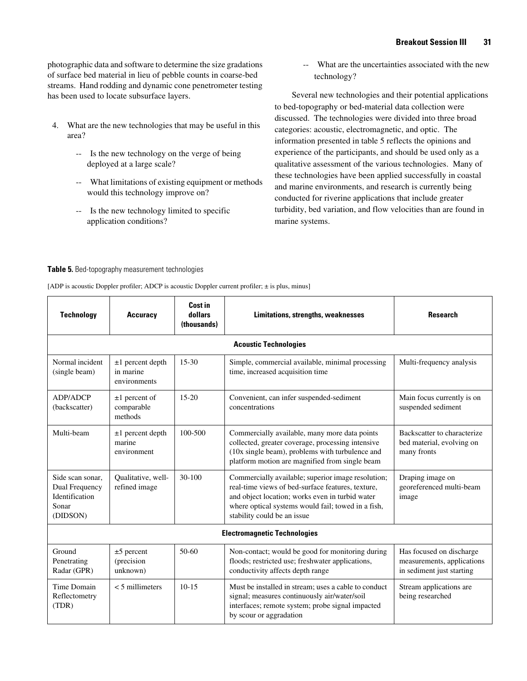photographic data and software to determine the size gradations of surface bed material in lieu of pebble counts in coarse-bed streams. Hand rodding and dynamic cone penetrometer testing has been used to locate subsurface layers.

- 4. What are the new technologies that may be useful in this area?
	- -- Is the new technology on the verge of being deployed at a large scale?
	- -- What limitations of existing equipment or methods would this technology improve on?
	- -- Is the new technology limited to specific application conditions?

-- What are the uncertainties associated with the new technology?

Several new technologies and their potential applications to bed-topography or bed-material data collection were discussed. The technologies were divided into three broad categories: acoustic, electromagnetic, and optic. The information presented in table 5 reflects the opinions and experience of the participants, and should be used only as a qualitative assessment of the various technologies. Many of these technologies have been applied successfully in coastal and marine environments, and research is currently being conducted for riverine applications that include greater turbidity, bed variation, and flow velocities than are found in marine systems.

#### **Table 5.** Bed-topography measurement technologies

[ADP is acoustic Doppler profiler; ADCP is acoustic Doppler current profiler; ± is plus, minus]

| <b>Technology</b>                                                         | <b>Accuracy</b>                                 | Cost in<br>dollars<br>(thousands) | <b>Limitations, strengths, weaknesses</b>                                                                                                                                                                                                       | <b>Research</b>                                                                     |  |  |
|---------------------------------------------------------------------------|-------------------------------------------------|-----------------------------------|-------------------------------------------------------------------------------------------------------------------------------------------------------------------------------------------------------------------------------------------------|-------------------------------------------------------------------------------------|--|--|
| <b>Acoustic Technologies</b>                                              |                                                 |                                   |                                                                                                                                                                                                                                                 |                                                                                     |  |  |
| Normal incident<br>(single beam)                                          | $±1$ percent depth<br>in marine<br>environments | $15-30$                           | Simple, commercial available, minimal processing<br>time, increased acquisition time                                                                                                                                                            | Multi-frequency analysis                                                            |  |  |
| <b>ADP/ADCP</b><br>(backscatter)                                          | $\pm 1$ percent of<br>comparable<br>methods     | $15-20$                           | Convenient, can infer suspended-sediment<br>concentrations                                                                                                                                                                                      | Main focus currently is on<br>suspended sediment                                    |  |  |
| Multi-beam                                                                | $±1$ percent depth<br>marine<br>environment     | 100-500                           | Commercially available, many more data points<br>collected, greater coverage, processing intensive<br>(10x single beam), problems with turbulence and<br>platform motion are magnified from single beam                                         | Backscatter to characterize<br>bed material, evolving on<br>many fronts             |  |  |
| Side scan sonar.<br>Dual Frequency<br>Identification<br>Sonar<br>(DIDSON) | Qualitative, well-<br>refined image             | $30 - 100$                        | Commercially available; superior image resolution;<br>real-time views of bed-surface features, texture,<br>and object location; works even in turbid water<br>where optical systems would fail; towed in a fish,<br>stability could be an issue | Draping image on<br>georeferenced multi-beam<br>image                               |  |  |
| <b>Electromagnetic Technologies</b>                                       |                                                 |                                   |                                                                                                                                                                                                                                                 |                                                                                     |  |  |
| Ground<br>Penetrating<br>Radar (GPR)                                      | $±5$ percent<br>(precision<br>unknown)          | $50-60$                           | Non-contact; would be good for monitoring during<br>floods; restricted use; freshwater applications,<br>conductivity affects depth range                                                                                                        | Has focused on discharge<br>measurements, applications<br>in sediment just starting |  |  |
| Time Domain<br>Reflectometry<br>(TDR)                                     | $<$ 5 millimeters                               | $10 - 15$                         | Must be installed in stream; uses a cable to conduct<br>signal; measures continuously air/water/soil<br>interfaces; remote system; probe signal impacted<br>by scour or aggradation                                                             | Stream applications are<br>being researched                                         |  |  |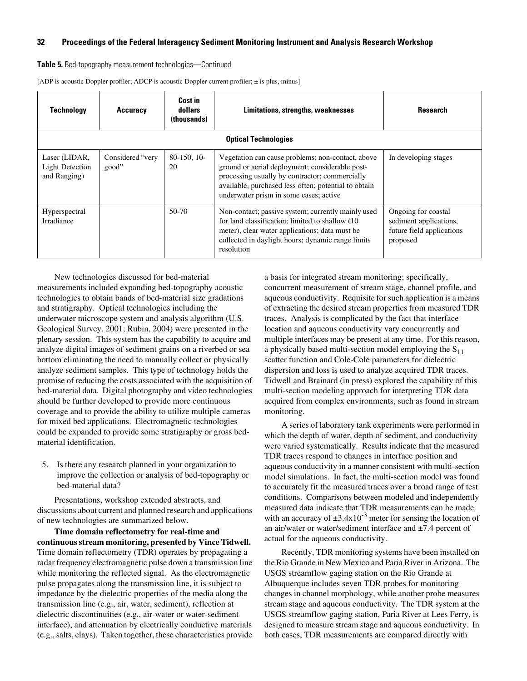#### **32 Proceedings of the Federal Interagency Sediment Monitoring Instrument and Analysis Research Workshop**

**Table 5.** Bed-topography measurement technologies—Continued

[ADP is acoustic Doppler profiler; ADCP is acoustic Doppler current profiler; ± is plus, minus]

| <b>Technology</b>                                       | Accuracy                  | Cost in<br>dollars<br>(thousands) | Limitations, strengths, weaknesses                                                                                                                                                                                                                       | <b>Research</b>                                                                        |  |  |
|---------------------------------------------------------|---------------------------|-----------------------------------|----------------------------------------------------------------------------------------------------------------------------------------------------------------------------------------------------------------------------------------------------------|----------------------------------------------------------------------------------------|--|--|
| <b>Optical Technologies</b>                             |                           |                                   |                                                                                                                                                                                                                                                          |                                                                                        |  |  |
| Laser (LIDAR,<br><b>Light Detection</b><br>and Ranging) | Considered "very<br>good" | $80-150$ , 10-<br>20              | Vegetation can cause problems; non-contact, above<br>ground or aerial deployment; considerable post-<br>processing usually by contractor; commercially<br>available, purchased less often; potential to obtain<br>underwater prism in some cases; active | In developing stages                                                                   |  |  |
| Hyperspectral<br>Irradiance                             |                           | $50-70$                           | Non-contact; passive system; currently mainly used<br>for land classification; limited to shallow (10)<br>meter), clear water applications; data must be<br>collected in daylight hours; dynamic range limits<br>resolution                              | Ongoing for coastal<br>sediment applications,<br>future field applications<br>proposed |  |  |

New technologies discussed for bed-material measurements included expanding bed-topography acoustic technologies to obtain bands of bed-material size gradations and stratigraphy. Optical technologies including the underwater microscope system and analysis algorithm (U.S. Geological Survey, 2001; Rubin, 2004) were presented in the plenary session. This system has the capability to acquire and analyze digital images of sediment grains on a riverbed or sea bottom eliminating the need to manually collect or physically analyze sediment samples. This type of technology holds the promise of reducing the costs associated with the acquisition of bed-material data. Digital photography and video technologies should be further developed to provide more continuous coverage and to provide the ability to utilize multiple cameras for mixed bed applications. Electromagnetic technologies could be expanded to provide some stratigraphy or gross bedmaterial identification.

5. Is there any research planned in your organization to improve the collection or analysis of bed-topography or bed-material data?

Presentations, workshop extended abstracts, and discussions about current and planned research and applications of new technologies are summarized below.

**Time domain reflectometry for real-time and continuous stream monitoring, presented by Vince Tidwell.**  Time domain reflectometry (TDR) operates by propagating a radar frequency electromagnetic pulse down a transmission line while monitoring the reflected signal. As the electromagnetic pulse propagates along the transmission line, it is subject to impedance by the dielectric properties of the media along the transmission line (e.g., air, water, sediment), reflection at dielectric discontinuities (e.g., air-water or water-sediment interface), and attenuation by electrically conductive materials (e.g., salts, clays). Taken together, these characteristics provide a basis for integrated stream monitoring; specifically, concurrent measurement of stream stage, channel profile, and aqueous conductivity. Requisite for such application is a means of extracting the desired stream properties from measured TDR traces. Analysis is complicated by the fact that interface location and aqueous conductivity vary concurrently and multiple interfaces may be present at any time. For this reason, a physically based multi-section model employing the  $S_{11}$ scatter function and Cole-Cole parameters for dielectric dispersion and loss is used to analyze acquired TDR traces. Tidwell and Brainard (in press) explored the capability of this multi-section modeling approach for interpreting TDR data acquired from complex environments, such as found in stream monitoring.

A series of laboratory tank experiments were performed in which the depth of water, depth of sediment, and conductivity were varied systematically. Results indicate that the measured TDR traces respond to changes in interface position and aqueous conductivity in a manner consistent with multi-section model simulations. In fact, the multi-section model was found to accurately fit the measured traces over a broad range of test conditions. Comparisons between modeled and independently measured data indicate that TDR measurements can be made with an accuracy of  $\pm 3.4 \times 10^{-3}$  meter for sensing the location of an air/water or water/sediment interface and ±7.4 percent of actual for the aqueous conductivity.

Recently, TDR monitoring systems have been installed on the Rio Grande in New Mexico and Paria River in Arizona. The USGS streamflow gaging station on the Rio Grande at Albuquerque includes seven TDR probes for monitoring changes in channel morphology, while another probe measures stream stage and aqueous conductivity. The TDR system at the USGS streamflow gaging station, Paria River at Lees Ferry, is designed to measure stream stage and aqueous conductivity. In both cases, TDR measurements are compared directly with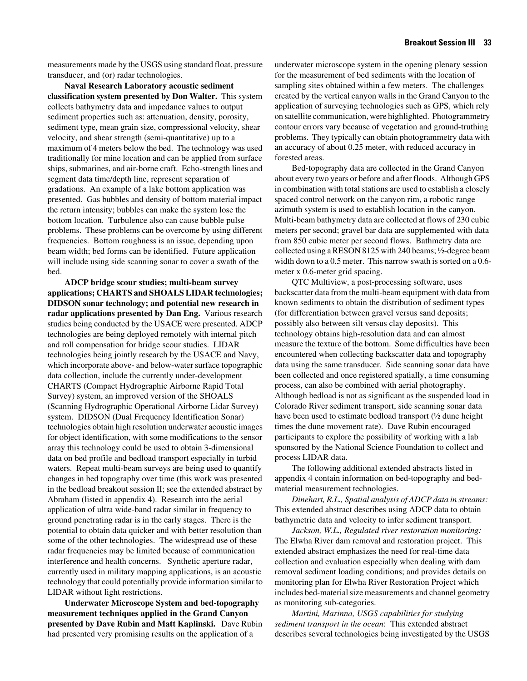measurements made by the USGS using standard float, pressure transducer, and (or) radar technologies.

**Naval Research Laboratory acoustic sediment classification system presented by Don Walter.** This system collects bathymetry data and impedance values to output sediment properties such as: attenuation, density, porosity, sediment type, mean grain size, compressional velocity, shear velocity, and shear strength (semi-quantitative) up to a maximum of 4 meters below the bed. The technology was used traditionally for mine location and can be applied from surface ships, submarines, and air-borne craft. Echo-strength lines and segment data time/depth line, represent separation of gradations. An example of a lake bottom application was presented. Gas bubbles and density of bottom material impact the return intensity; bubbles can make the system lose the bottom location. Turbulence also can cause bubble pulse problems. These problems can be overcome by using different frequencies. Bottom roughness is an issue, depending upon beam width; bed forms can be identified. Future application will include using side scanning sonar to cover a swath of the bed.

**ADCP bridge scour studies; multi-beam survey applications; CHARTS and SHOALS LIDAR technologies; DIDSON sonar technology; and potential new research in radar applications presented by Dan Eng.** Various research studies being conducted by the USACE were presented. ADCP technologies are being deployed remotely with internal pitch and roll compensation for bridge scour studies. LIDAR technologies being jointly research by the USACE and Navy, which incorporate above- and below-water surface topographic data collection, include the currently under-development CHARTS (Compact Hydrographic Airborne Rapid Total Survey) system, an improved version of the SHOALS (Scanning Hydrographic Operational Airborne Lidar Survey) system. DIDSON (Dual Frequency Identification Sonar) technologies obtain high resolution underwater acoustic images for object identification, with some modifications to the sensor array this technology could be used to obtain 3-dimensional data on bed profile and bedload transport especially in turbid waters. Repeat multi-beam surveys are being used to quantify changes in bed topography over time (this work was presented in the bedload breakout session II; see the extended abstract by Abraham (listed in appendix 4). Research into the aerial application of ultra wide-band radar similar in frequency to ground penetrating radar is in the early stages. There is the potential to obtain data quicker and with better resolution than some of the other technologies. The widespread use of these radar frequencies may be limited because of communication interference and health concerns. Synthetic aperture radar, currently used in military mapping applications, is an acoustic technology that could potentially provide information similar to LIDAR without light restrictions.

**Underwater Microscope System and bed-topography measurement techniques applied in the Grand Canyon presented by Dave Rubin and Matt Kaplinski.** Dave Rubin had presented very promising results on the application of a

underwater microscope system in the opening plenary session for the measurement of bed sediments with the location of sampling sites obtained within a few meters. The challenges created by the vertical canyon walls in the Grand Canyon to the application of surveying technologies such as GPS, which rely on satellite communication, were highlighted. Photogrammetry contour errors vary because of vegetation and ground-truthing problems. They typically can obtain photogrammetry data with an accuracy of about 0.25 meter, with reduced accuracy in forested areas.

Bed-topography data are collected in the Grand Canyon about every two years or before and after floods. Although GPS in combination with total stations are used to establish a closely spaced control network on the canyon rim, a robotic range azimuth system is used to establish location in the canyon. Multi-beam bathymetry data are collected at flows of 230 cubic meters per second; gravel bar data are supplemented with data from 850 cubic meter per second flows. Bathmetry data are collected using a RESON 8125 with 240 beams; ½-degree beam width down to a 0.5 meter. This narrow swath is sorted on a 0.6meter x 0.6-meter grid spacing.

QTC Multiview, a post-processing software, uses backscatter data from the multi-beam equipment with data from known sediments to obtain the distribution of sediment types (for differentiation between gravel versus sand deposits; possibly also between silt versus clay deposits). This technology obtains high-resolution data and can almost measure the texture of the bottom. Some difficulties have been encountered when collecting backscatter data and topography data using the same transducer. Side scanning sonar data have been collected and once registered spatially, a time consuming process, can also be combined with aerial photography. Although bedload is not as significant as the suspended load in Colorado River sediment transport, side scanning sonar data have been used to estimate bedload transport (½ dune height times the dune movement rate). Dave Rubin encouraged participants to explore the possibility of working with a lab sponsored by the National Science Foundation to collect and process LIDAR data.

The following additional extended abstracts listed in appendix 4 contain information on bed-topography and bedmaterial measurement technologies.

*Dinehart, R.L., Spatial analysis of ADCP data in streams:* This extended abstract describes using ADCP data to obtain bathymetric data and velocity to infer sediment transport.

*Jackson, W.L., Regulated river restoration monitoring:* The Elwha River dam removal and restoration project. This extended abstract emphasizes the need for real-time data collection and evaluation especially when dealing with dam removal sediment loading conditions; and provides details on monitoring plan for Elwha River Restoration Project which includes bed-material size measurements and channel geometry as monitoring sub-categories.

*Martini, Marinna, USGS capabilities for studying sediment transport in the ocean*: This extended abstract describes several technologies being investigated by the USGS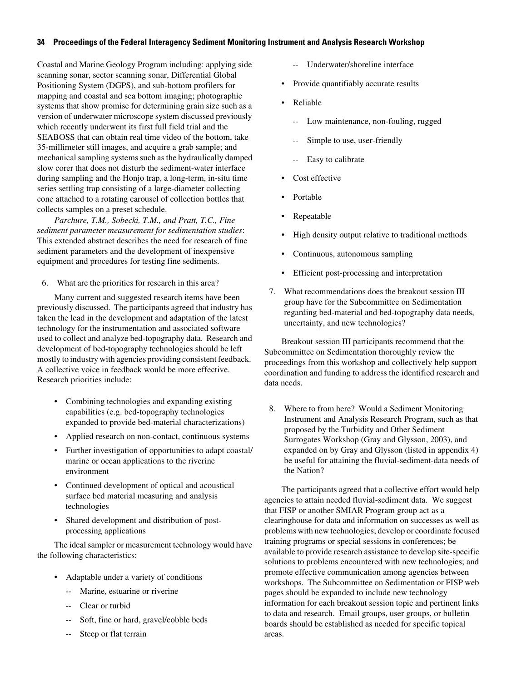#### **34 Proceedings of the Federal Interagency Sediment Monitoring Instrument and Analysis Research Workshop**

Coastal and Marine Geology Program including: applying side scanning sonar, sector scanning sonar, Differential Global Positioning System (DGPS), and sub-bottom profilers for mapping and coastal and sea bottom imaging; photographic systems that show promise for determining grain size such as a version of underwater microscope system discussed previously which recently underwent its first full field trial and the SEABOSS that can obtain real time video of the bottom, take 35-millimeter still images, and acquire a grab sample; and mechanical sampling systems such as the hydraulically damped slow corer that does not disturb the sediment-water interface during sampling and the Honjo trap, a long-term, in-situ time series settling trap consisting of a large-diameter collecting cone attached to a rotating carousel of collection bottles that collects samples on a preset schedule.

*Parchure, T.M., Sobecki, T.M., and Pratt, T.C., Fine sediment parameter measurement for sedimentation studies*: This extended abstract describes the need for research of fine sediment parameters and the development of inexpensive equipment and procedures for testing fine sediments.

6. What are the priorities for research in this area?

Many current and suggested research items have been previously discussed. The participants agreed that industry has taken the lead in the development and adaptation of the latest technology for the instrumentation and associated software used to collect and analyze bed-topography data. Research and development of bed-topography technologies should be left mostly to industry with agencies providing consistent feedback. A collective voice in feedback would be more effective. Research priorities include:

- Combining technologies and expanding existing capabilities (e.g. bed-topography technologies expanded to provide bed-material characterizations)
- Applied research on non-contact, continuous systems
- Further investigation of opportunities to adapt coastal/ marine or ocean applications to the riverine environment
- Continued development of optical and acoustical surface bed material measuring and analysis technologies
- Shared development and distribution of postprocessing applications

The ideal sampler or measurement technology would have the following characteristics:

- Adaptable under a variety of conditions
	- -- Marine, estuarine or riverine
	- -- Clear or turbid
	- Soft, fine or hard, gravel/cobble beds
	- Steep or flat terrain
- -- Underwater/shoreline interface
- Provide quantifiably accurate results
- Reliable
	- Low maintenance, non-fouling, rugged
	- Simple to use, user-friendly
	- -- Easy to calibrate
- Cost effective
- Portable
- **Repeatable**
- High density output relative to traditional methods
- Continuous, autonomous sampling
- Efficient post-processing and interpretation
- 7. What recommendations does the breakout session III group have for the Subcommittee on Sedimentation regarding bed-material and bed-topography data needs, uncertainty, and new technologies?

Breakout session III participants recommend that the Subcommittee on Sedimentation thoroughly review the proceedings from this workshop and collectively help support coordination and funding to address the identified research and data needs.

8. Where to from here? Would a Sediment Monitoring Instrument and Analysis Research Program, such as that proposed by the Turbidity and Other Sediment Surrogates Workshop (Gray and Glysson, 2003), and expanded on by Gray and Glysson (listed in appendix 4) be useful for attaining the fluvial-sediment-data needs of the Nation?

The participants agreed that a collective effort would help agencies to attain needed fluvial-sediment data. We suggest that FISP or another SMIAR Program group act as a clearinghouse for data and information on successes as well as problems with new technologies; develop or coordinate focused training programs or special sessions in conferences; be available to provide research assistance to develop site-specific solutions to problems encountered with new technologies; and promote effective communication among agencies between workshops. The Subcommittee on Sedimentation or FISP web pages should be expanded to include new technology information for each breakout session topic and pertinent links to data and research. Email groups, user groups, or bulletin boards should be established as needed for specific topical areas.